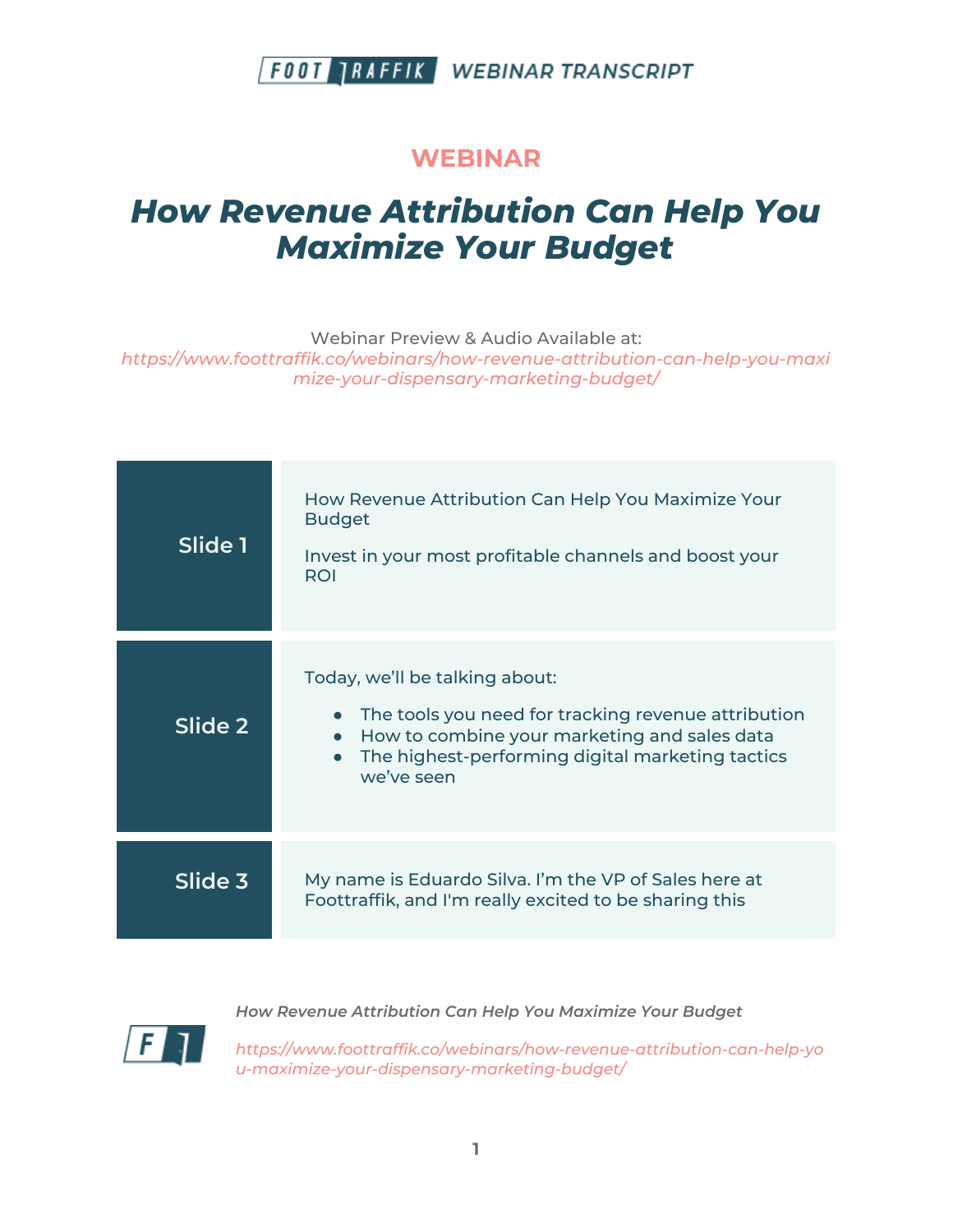#### **WEBINAR**

# *How Revenue Attribution Can Help You Maximize Your Budget*

Webinar Preview & Audio Available at:

*https://www.foottraffik.co/webinars/how-revenue-attribution-can-help-you-maxi mize-your-dispensary-marketing-budget/*

| Slide 1 | How Revenue Attribution Can Help You Maximize Your<br><b>Budget</b><br>Invest in your most profitable channels and boost your<br>ROI                                                                    |
|---------|---------------------------------------------------------------------------------------------------------------------------------------------------------------------------------------------------------|
| Slide 2 | Today, we'll be talking about:<br>The tools you need for tracking revenue attribution<br>How to combine your marketing and sales data<br>The highest-performing digital marketing tactics<br>we've seen |
| Slide 3 | My name is Eduardo Silva. I'm the VP of Sales here at<br>Foottraffik, and I'm really excited to be sharing this                                                                                         |
|         |                                                                                                                                                                                                         |



*How Revenue Attribution Can Help You Maximize Your Budget*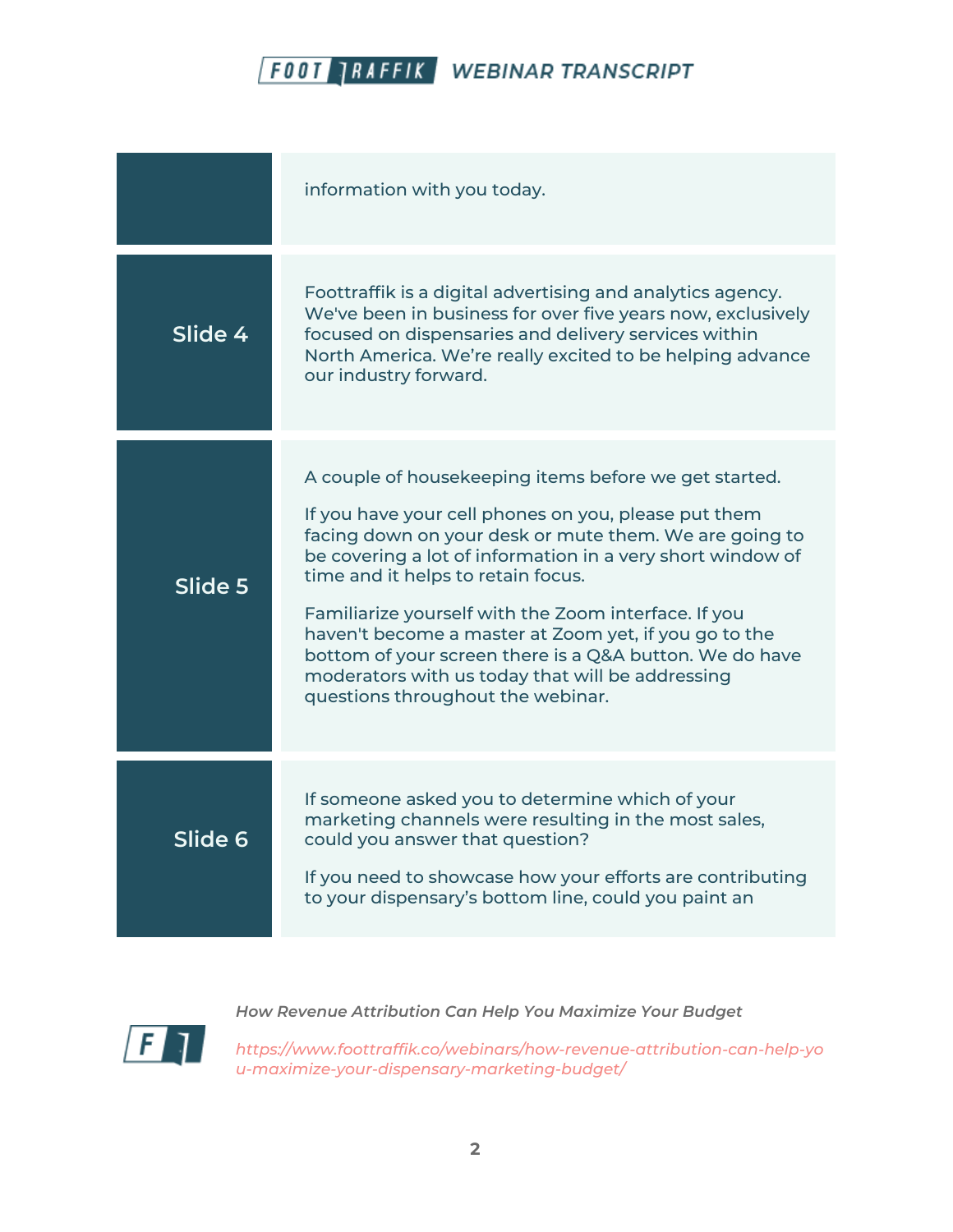|         | information with you today.                                                                                                                                                                                                                                                                                                                                                                                                                                                                                                                      |
|---------|--------------------------------------------------------------------------------------------------------------------------------------------------------------------------------------------------------------------------------------------------------------------------------------------------------------------------------------------------------------------------------------------------------------------------------------------------------------------------------------------------------------------------------------------------|
| Slide 4 | Foottraffik is a digital advertising and analytics agency.<br>We've been in business for over five years now, exclusively<br>focused on dispensaries and delivery services within<br>North America. We're really excited to be helping advance<br>our industry forward.                                                                                                                                                                                                                                                                          |
| Slide 5 | A couple of housekeeping items before we get started.<br>If you have your cell phones on you, please put them<br>facing down on your desk or mute them. We are going to<br>be covering a lot of information in a very short window of<br>time and it helps to retain focus.<br>Familiarize yourself with the Zoom interface. If you<br>haven't become a master at Zoom yet, if you go to the<br>bottom of your screen there is a Q&A button. We do have<br>moderators with us today that will be addressing<br>questions throughout the webinar. |
| Slide 6 | If someone asked you to determine which of your<br>marketing channels were resulting in the most sales,<br>could you answer that question?<br>If you need to showcase how your efforts are contributing<br>to your dispensary's bottom line, could you paint an                                                                                                                                                                                                                                                                                  |



*How Revenue Attribution Can Help You Maximize Your Budget*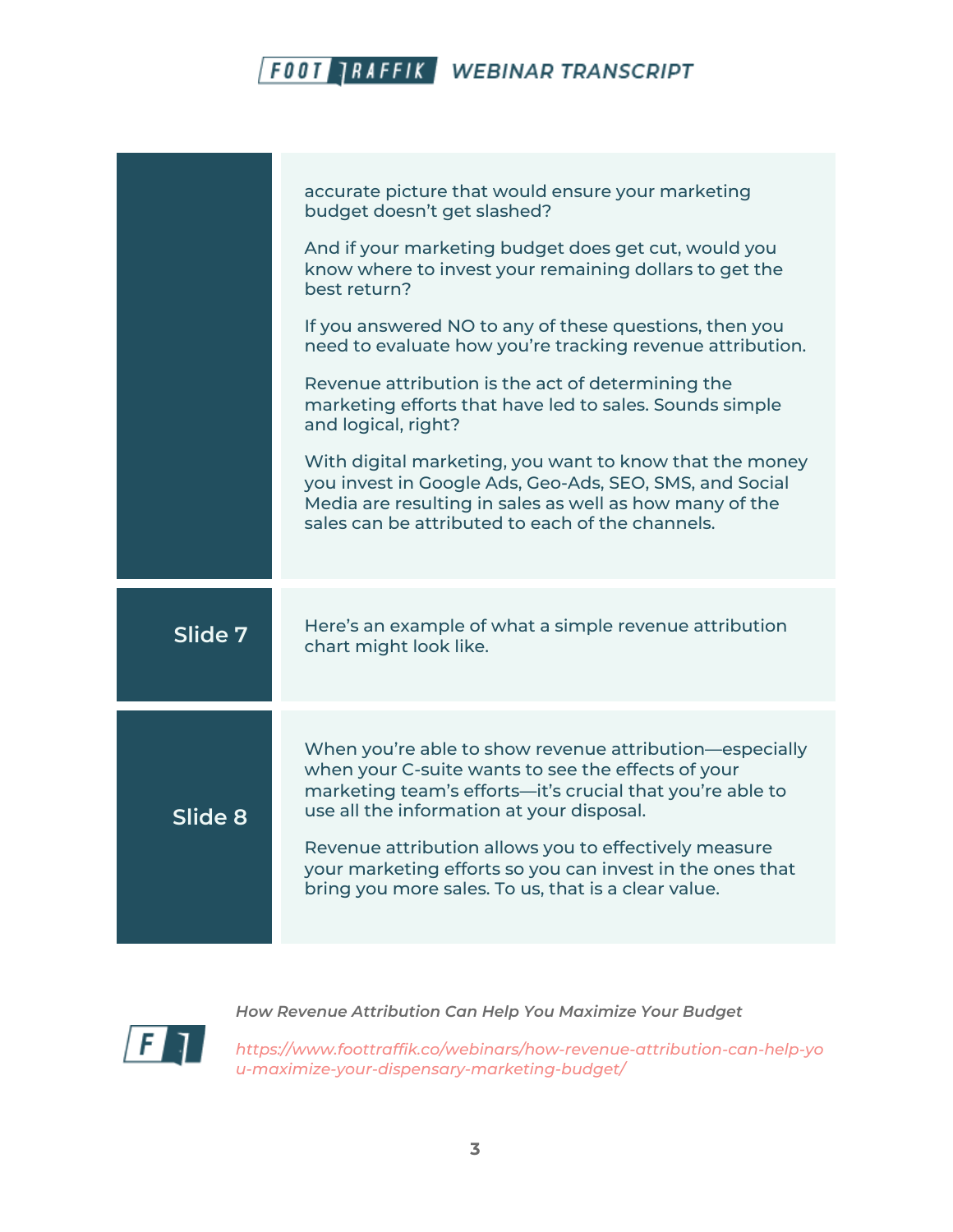|         | accurate picture that would ensure your marketing<br>budget doesn't get slashed?                                                                                                                                                  |
|---------|-----------------------------------------------------------------------------------------------------------------------------------------------------------------------------------------------------------------------------------|
|         | And if your marketing budget does get cut, would you<br>know where to invest your remaining dollars to get the<br>best return?                                                                                                    |
|         | If you answered NO to any of these questions, then you<br>need to evaluate how you're tracking revenue attribution.                                                                                                               |
|         | Revenue attribution is the act of determining the<br>marketing efforts that have led to sales. Sounds simple<br>and logical, right?                                                                                               |
|         | With digital marketing, you want to know that the money<br>you invest in Google Ads, Geo-Ads, SEO, SMS, and Social<br>Media are resulting in sales as well as how many of the<br>sales can be attributed to each of the channels. |
| Slide 7 | Here's an example of what a simple revenue attribution<br>chart might look like.                                                                                                                                                  |
| Slide 8 | When you're able to show revenue attribution-especially<br>when your C-suite wants to see the effects of your<br>marketing team's efforts-it's crucial that you're able to<br>use all the information at your disposal.           |
|         | Revenue attribution allows you to effectively measure<br>your marketing efforts so you can invest in the ones that<br>bring you more sales. To us, that is a clear value.                                                         |
|         |                                                                                                                                                                                                                                   |



*How Revenue Attribution Can Help You Maximize Your Budget*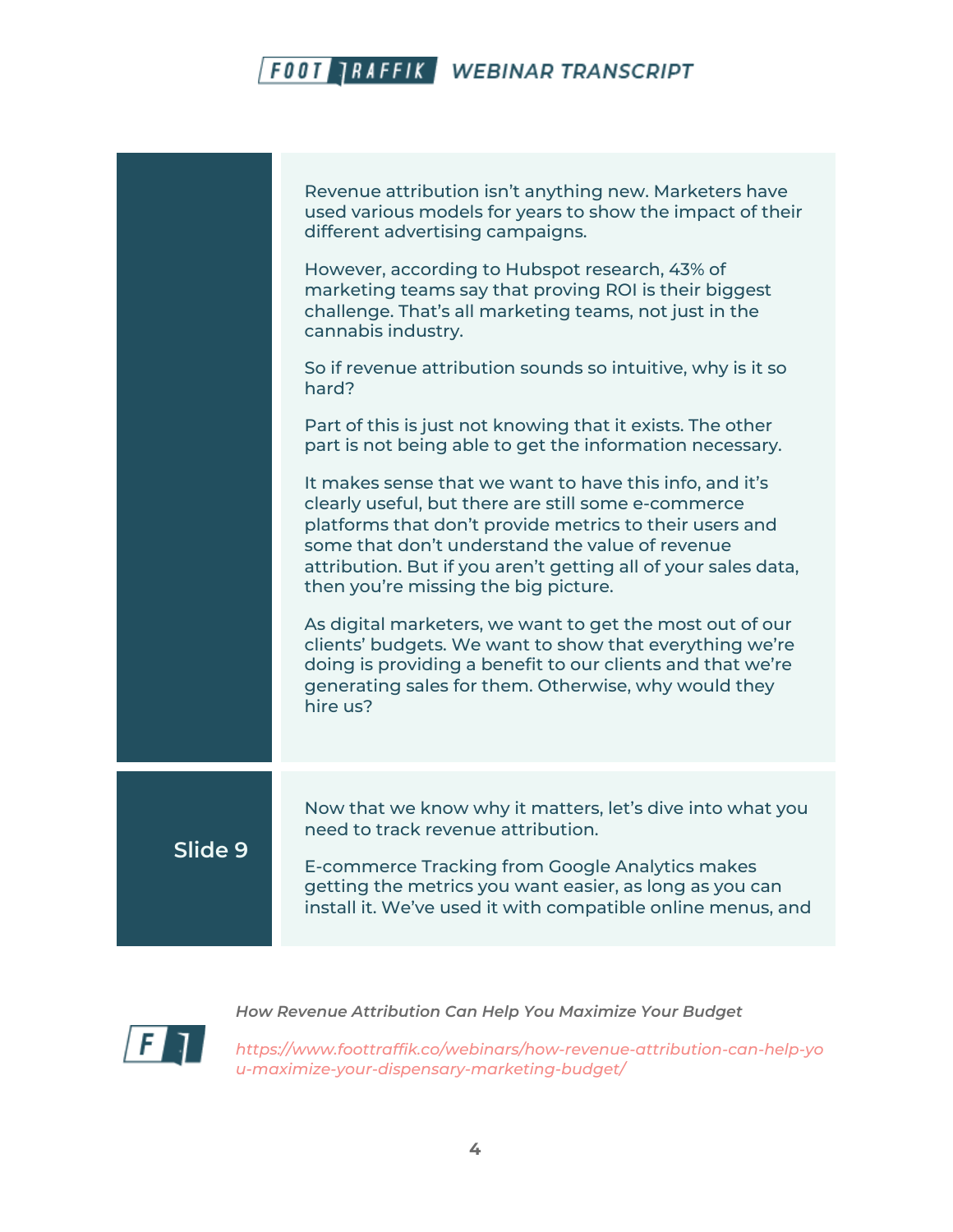|         | Revenue attribution isn't anything new. Marketers have<br>used various models for years to show the impact of their<br>different advertising campaigns.                                                                                                                                                                                |
|---------|----------------------------------------------------------------------------------------------------------------------------------------------------------------------------------------------------------------------------------------------------------------------------------------------------------------------------------------|
|         | However, according to Hubspot research, 43% of<br>marketing teams say that proving ROI is their biggest<br>challenge. That's all marketing teams, not just in the<br>cannabis industry.                                                                                                                                                |
|         | So if revenue attribution sounds so intuitive, why is it so<br>hard?                                                                                                                                                                                                                                                                   |
|         | Part of this is just not knowing that it exists. The other<br>part is not being able to get the information necessary.                                                                                                                                                                                                                 |
|         | It makes sense that we want to have this info, and it's<br>clearly useful, but there are still some e-commerce<br>platforms that don't provide metrics to their users and<br>some that don't understand the value of revenue<br>attribution. But if you aren't getting all of your sales data,<br>then you're missing the big picture. |
|         | As digital marketers, we want to get the most out of our<br>clients' budgets. We want to show that everything we're<br>doing is providing a benefit to our clients and that we're<br>generating sales for them. Otherwise, why would they<br>hire us?                                                                                  |
|         | Now that we know why it matters, let's dive into what you                                                                                                                                                                                                                                                                              |
| Slide 9 | need to track revenue attribution.<br>E-commerce Tracking from Google Analytics makes<br>getting the metrics you want easier, as long as you can<br>install it. We've used it with compatible online menus, and                                                                                                                        |
|         |                                                                                                                                                                                                                                                                                                                                        |

*How Revenue Attribution Can Help You Maximize Your Budget*

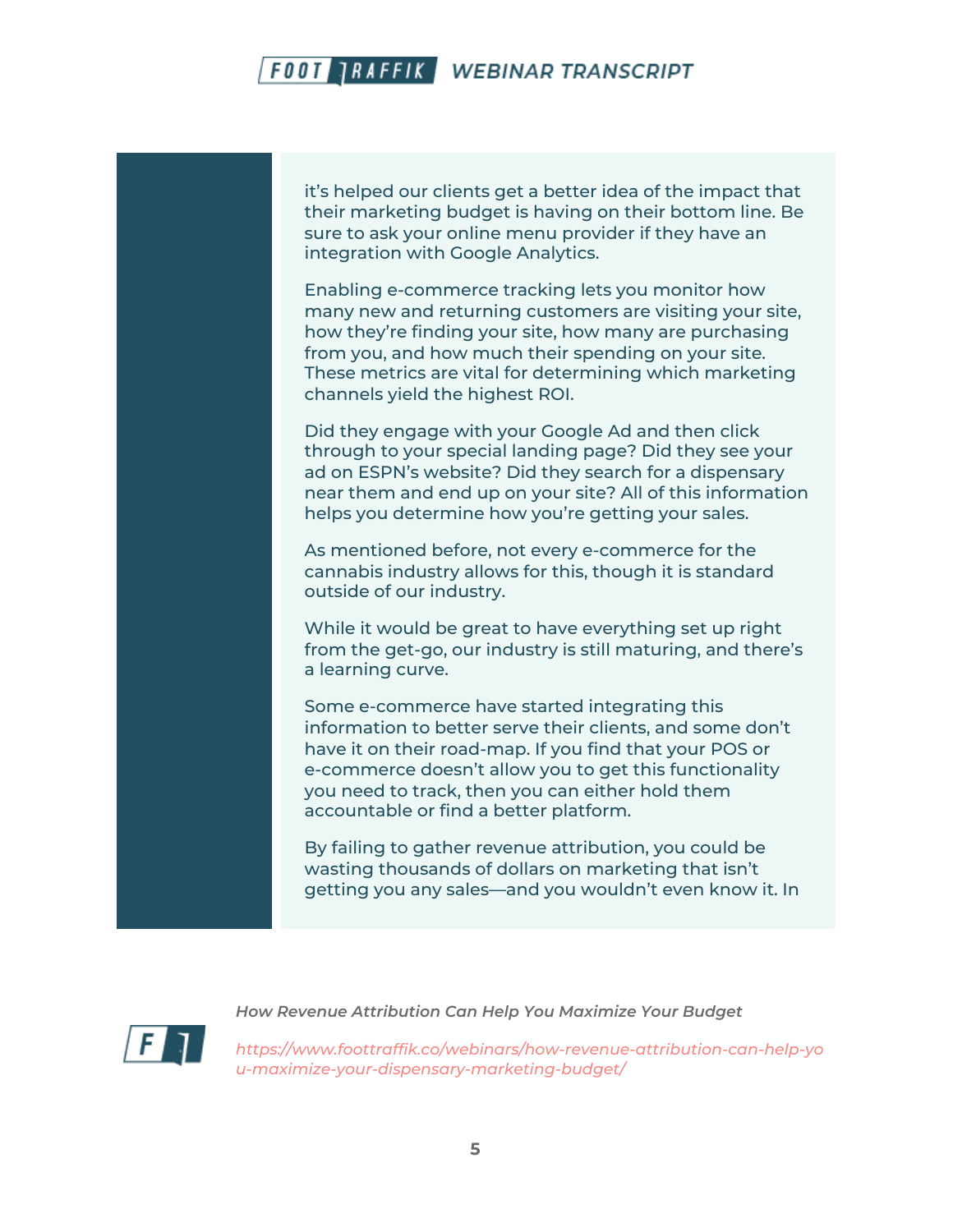it's helped our clients get a better idea of the impact that their marketing budget is having on their bottom line. Be sure to ask your online menu provider if they have an integration with Google Analytics.

Enabling e-commerce tracking lets you monitor how many new and returning customers are visiting your site, how they're finding your site, how many are purchasing from you, and how much their spending on your site. These metrics are vital for determining which marketing channels yield the highest ROI.

Did they engage with your Google Ad and then click through to your special landing page? Did they see your ad on ESPN's website? Did they search for a dispensary near them and end up on your site? All of this information helps you determine how you're getting your sales.

As mentioned before, not every e-commerce for the cannabis industry allows for this, though it is standard outside of our industry.

While it would be great to have everything set up right from the get-go, our industry is still maturing, and there's a learning curve.

Some e-commerce have started integrating this information to better serve their clients, and some don't have it on their road-map. If you find that your POS or e-commerce doesn't allow you to get this functionality you need to track, then you can either hold them accountable or find a better platform.

By failing to gather revenue attribution, you could be wasting thousands of dollars on marketing that isn't getting you any sales—and you wouldn't even know it. In



*How Revenue Attribution Can Help You Maximize Your Budget*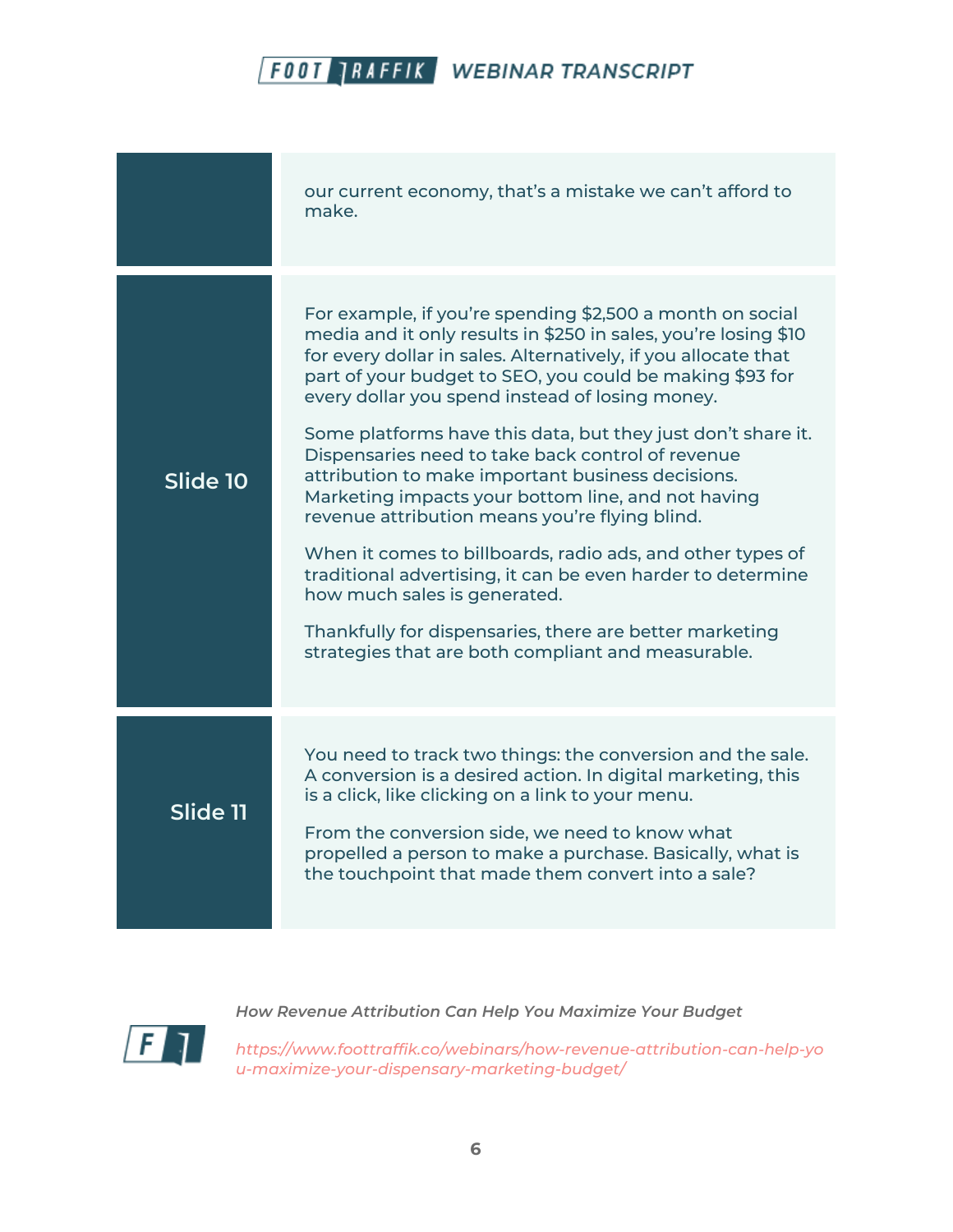|          | our current economy, that's a mistake we can't afford to<br>make.                                                                                                                                                                                                                                                                                                                                                                                                                                                                                                                                                                                                                                                                                                                                                                                                             |
|----------|-------------------------------------------------------------------------------------------------------------------------------------------------------------------------------------------------------------------------------------------------------------------------------------------------------------------------------------------------------------------------------------------------------------------------------------------------------------------------------------------------------------------------------------------------------------------------------------------------------------------------------------------------------------------------------------------------------------------------------------------------------------------------------------------------------------------------------------------------------------------------------|
| Slide 10 | For example, if you're spending \$2,500 a month on social<br>media and it only results in \$250 in sales, you're losing \$10<br>for every dollar in sales. Alternatively, if you allocate that<br>part of your budget to SEO, you could be making \$93 for<br>every dollar you spend instead of losing money.<br>Some platforms have this data, but they just don't share it.<br>Dispensaries need to take back control of revenue<br>attribution to make important business decisions.<br>Marketing impacts your bottom line, and not having<br>revenue attribution means you're flying blind.<br>When it comes to billboards, radio ads, and other types of<br>traditional advertising, it can be even harder to determine<br>how much sales is generated.<br>Thankfully for dispensaries, there are better marketing<br>strategies that are both compliant and measurable. |
| Slide 11 | You need to track two things: the conversion and the sale.<br>A conversion is a desired action. In digital marketing, this<br>is a click, like clicking on a link to your menu.<br>From the conversion side, we need to know what<br>propelled a person to make a purchase. Basically, what is<br>the touchpoint that made them convert into a sale?                                                                                                                                                                                                                                                                                                                                                                                                                                                                                                                          |



*How Revenue Attribution Can Help You Maximize Your Budget*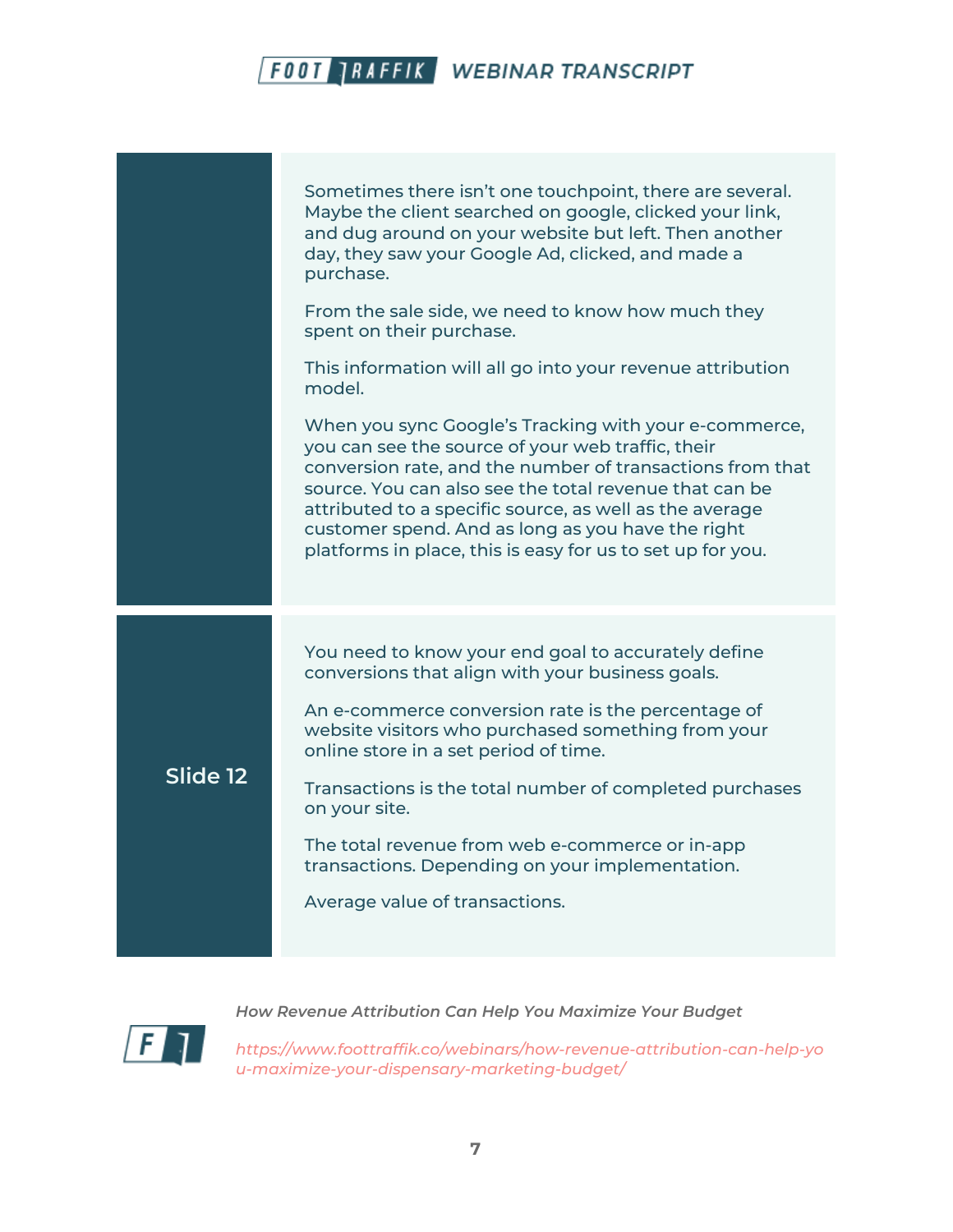

*How Revenue Attribution Can Help You Maximize Your Budget*

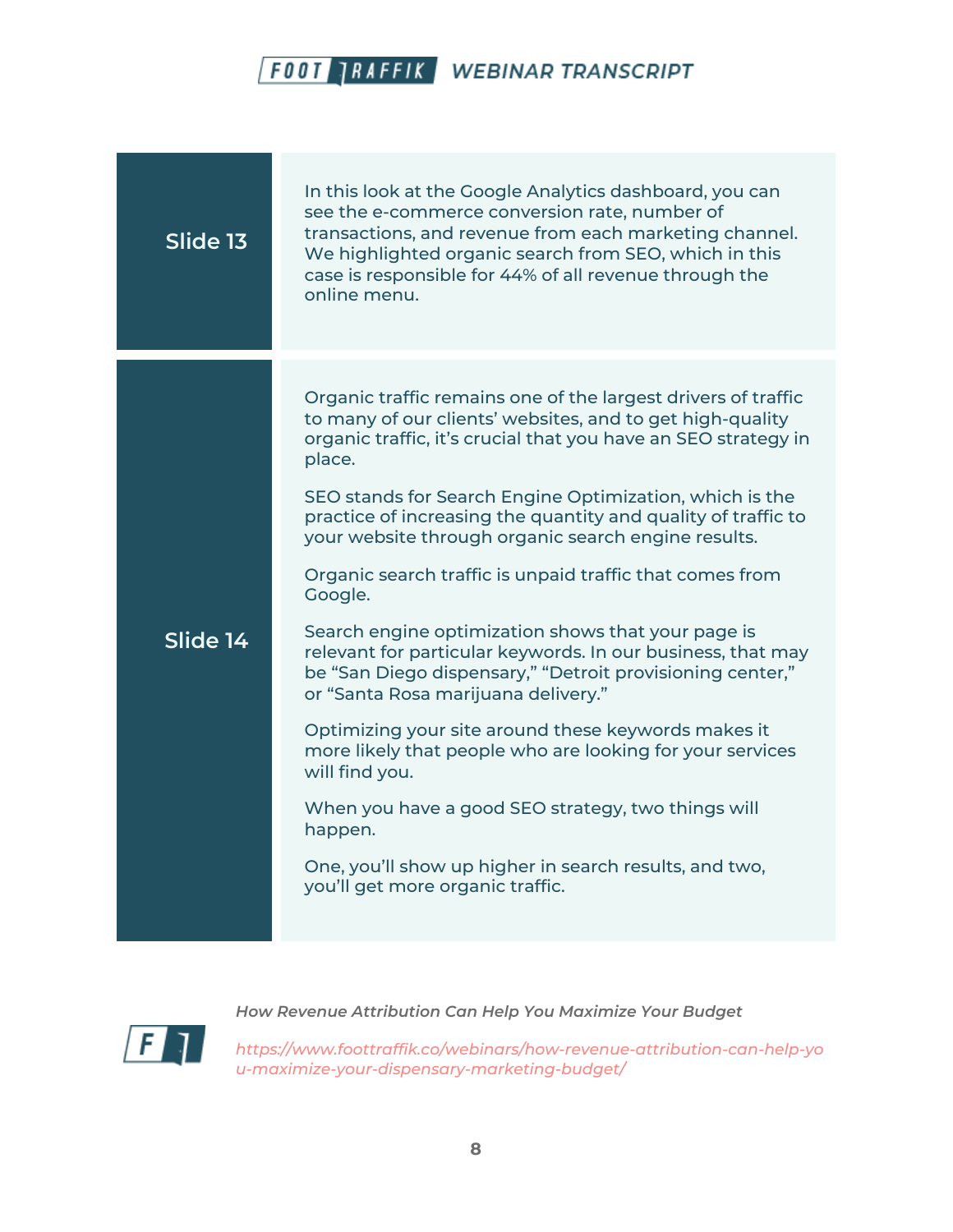| Slide 13    | In this look at the Google Analytics dashboard, you can<br>see the e-commerce conversion rate, number of<br>transactions, and revenue from each marketing channel.<br>We highlighted organic search from SEO, which in this<br>case is responsible for 44% of all revenue through the<br>online menu.                                                                                                                                                                                                                                                                                                                                                                                                                                                                                                                                                                                                                                                                                          |
|-------------|------------------------------------------------------------------------------------------------------------------------------------------------------------------------------------------------------------------------------------------------------------------------------------------------------------------------------------------------------------------------------------------------------------------------------------------------------------------------------------------------------------------------------------------------------------------------------------------------------------------------------------------------------------------------------------------------------------------------------------------------------------------------------------------------------------------------------------------------------------------------------------------------------------------------------------------------------------------------------------------------|
| $S$ lide 14 | Organic traffic remains one of the largest drivers of traffic<br>to many of our clients' websites, and to get high-quality<br>organic traffic, it's crucial that you have an SEO strategy in<br>place.<br>SEO stands for Search Engine Optimization, which is the<br>practice of increasing the quantity and quality of traffic to<br>your website through organic search engine results.<br>Organic search traffic is unpaid traffic that comes from<br>Google.<br>Search engine optimization shows that your page is<br>relevant for particular keywords. In our business, that may<br>be "San Diego dispensary," "Detroit provisioning center,"<br>or "Santa Rosa marijuana delivery."<br>Optimizing your site around these keywords makes it<br>more likely that people who are looking for your services<br>will find you.<br>When you have a good SEO strategy, two things will<br>happen.<br>One, you'll show up higher in search results, and two,<br>you'll get more organic traffic. |



*How Revenue Attribution Can Help You Maximize Your Budget*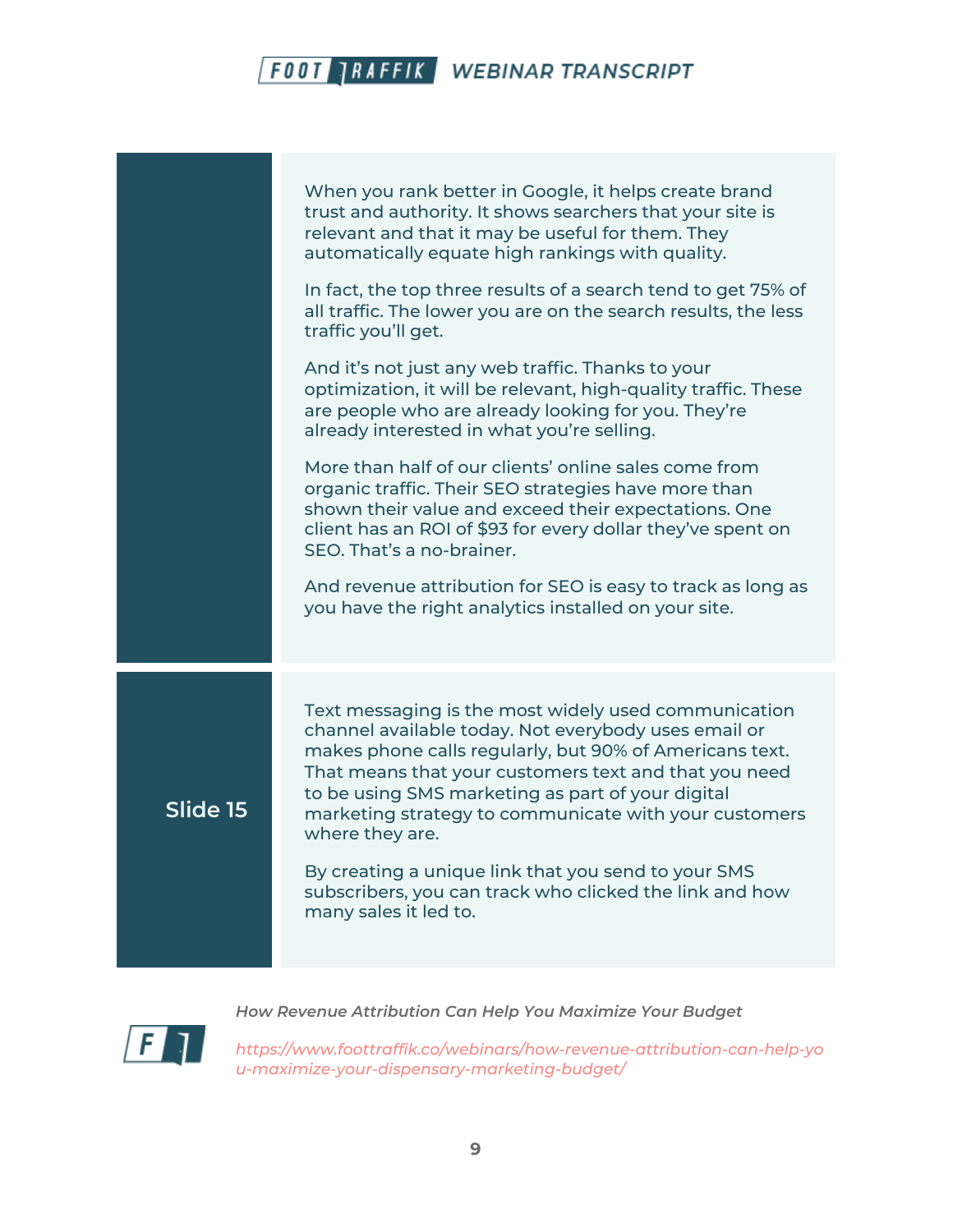|          | When you rank better in Google, it helps create brand<br>trust and authority. It shows searchers that your site is<br>relevant and that it may be useful for them. They<br>automatically equate high rankings with quality.<br>In fact, the top three results of a search tend to get 75% of<br>all traffic. The lower you are on the search results, the less<br>traffic you'll get.<br>And it's not just any web traffic. Thanks to your<br>optimization, it will be relevant, high-quality traffic. These<br>are people who are already looking for you. They're<br>already interested in what you're selling.<br>More than half of our clients' online sales come from<br>organic traffic. Their SEO strategies have more than<br>shown their value and exceed their expectations. One<br>client has an ROI of \$93 for every dollar they've spent on<br>SEO. That's a no-brainer.<br>And revenue attribution for SEO is easy to track as long as<br>you have the right analytics installed on your site. |
|----------|---------------------------------------------------------------------------------------------------------------------------------------------------------------------------------------------------------------------------------------------------------------------------------------------------------------------------------------------------------------------------------------------------------------------------------------------------------------------------------------------------------------------------------------------------------------------------------------------------------------------------------------------------------------------------------------------------------------------------------------------------------------------------------------------------------------------------------------------------------------------------------------------------------------------------------------------------------------------------------------------------------------|
| Slide 15 | Text messaging is the most widely used communication<br>channel available today. Not everybody uses email or<br>makes phone calls regularly, but 90% of Americans text.<br>That means that your customers text and that you need<br>to be using SMS marketing as part of your digital<br>marketing strategy to communicate with your customers<br>where they are.<br>By creating a unique link that you send to your SMS<br>subscribers, you can track who clicked the link and how<br>many sales it led to.                                                                                                                                                                                                                                                                                                                                                                                                                                                                                                  |

 $\mathbf{F}$ 

*How Revenue Attribution Can Help You Maximize Your Budget*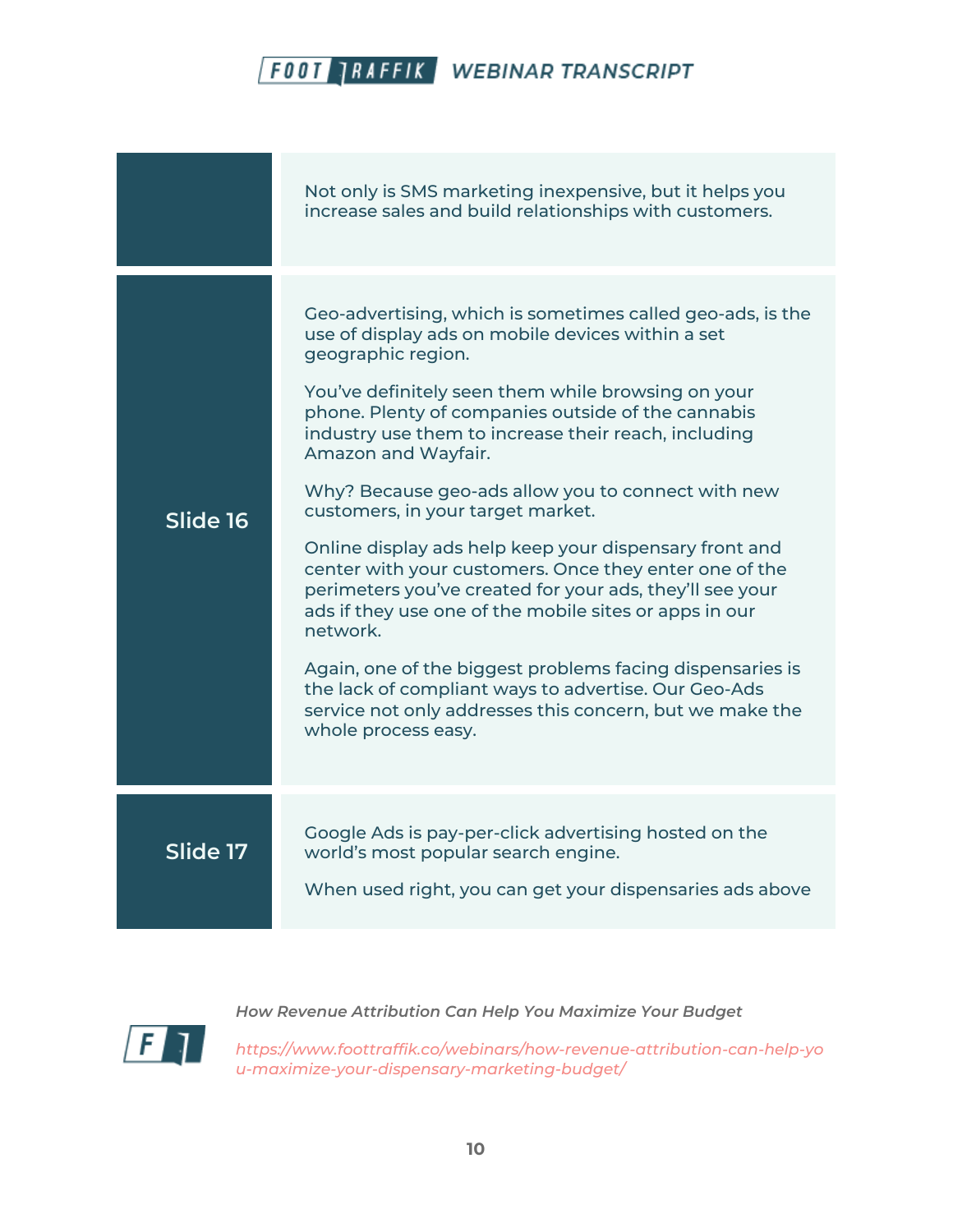|          | Not only is SMS marketing inexpensive, but it helps you<br>increase sales and build relationships with customers.                                                                                                                                                                                                                                                                                                                                                                                                                                                                                                                                                                                                                                                                                                                                                                         |
|----------|-------------------------------------------------------------------------------------------------------------------------------------------------------------------------------------------------------------------------------------------------------------------------------------------------------------------------------------------------------------------------------------------------------------------------------------------------------------------------------------------------------------------------------------------------------------------------------------------------------------------------------------------------------------------------------------------------------------------------------------------------------------------------------------------------------------------------------------------------------------------------------------------|
| Slide 16 | Geo-advertising, which is sometimes called geo-ads, is the<br>use of display ads on mobile devices within a set<br>geographic region.<br>You've definitely seen them while browsing on your<br>phone. Plenty of companies outside of the cannabis<br>industry use them to increase their reach, including<br>Amazon and Wayfair.<br>Why? Because geo-ads allow you to connect with new<br>customers, in your target market.<br>Online display ads help keep your dispensary front and<br>center with your customers. Once they enter one of the<br>perimeters you've created for your ads, they'll see your<br>ads if they use one of the mobile sites or apps in our<br>network.<br>Again, one of the biggest problems facing dispensaries is<br>the lack of compliant ways to advertise. Our Geo-Ads<br>service not only addresses this concern, but we make the<br>whole process easy. |
| Slide 17 | Google Ads is pay-per-click advertising hosted on the<br>world's most popular search engine.<br>When used right, you can get your dispensaries ads above                                                                                                                                                                                                                                                                                                                                                                                                                                                                                                                                                                                                                                                                                                                                  |



*How Revenue Attribution Can Help You Maximize Your Budget*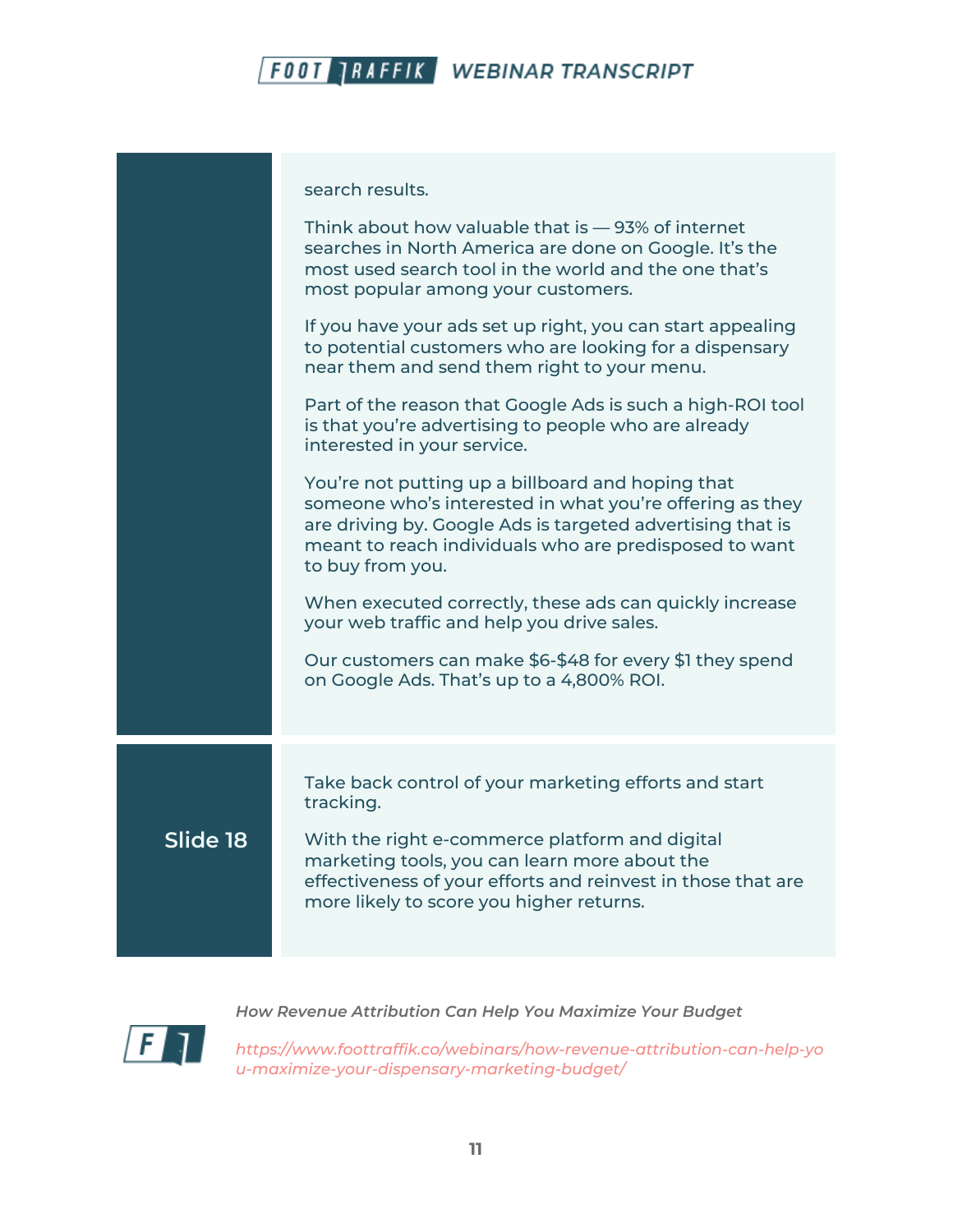

search results.

Think about how valuable that is — 93% of internet searches in North America are done on Google. It's the most used search tool in the world and the one that's most popular among your customers. If you have your ads set up right, you can start appealing to potential customers who are looking for a dispensary near them and send them right to your menu. Part of the reason that Google Ads is such a high-ROI tool is that you're advertising to people who are already interested in your service. You're not putting up a billboard and hoping that someone who's interested in what you're offering as they are driving by. Google Ads is targeted advertising that is meant to reach individuals who are predisposed to want to buy from you. When executed correctly, these ads can quickly increase your web traffic and help you drive sales. Our customers can make \$6-\$48 for every \$1 they spend on Google Ads. That's up to a 4,800% ROI. **Slide 18** Take back control of your marketing efforts and start tracking. With the right e-commerce platform and digital marketing tools, you can learn more about the effectiveness of your efforts and reinvest in those that are more likely to score you higher returns.



*How Revenue Attribution Can Help You Maximize Your Budget*